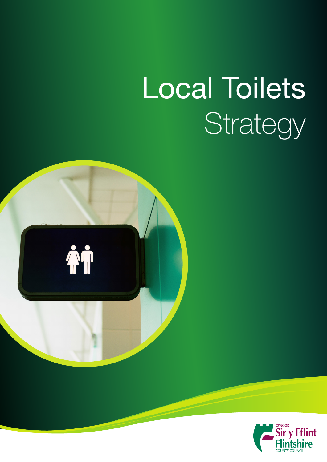# Local Toilets **Strategy**

<span id="page-0-0"></span>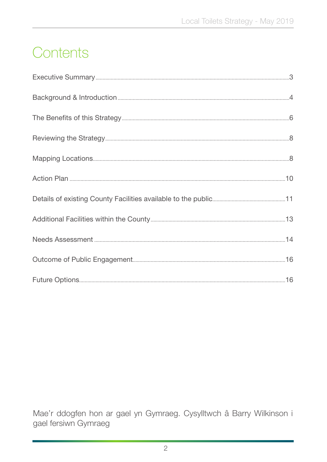## Contents

Mae'r ddogfen hon ar gael yn Gymraeg. Cysylltwch â Barry Wilkinson i gael fersiwn Gymraeg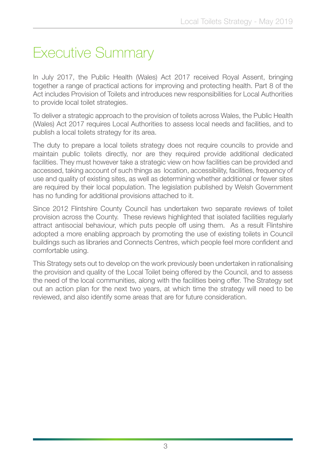#### <span id="page-2-0"></span>Executive Summary

In July 2017, the Public Health (Wales) Act 2017 received Royal Assent, bringing together a range of practical actions for improving and protecting health. Part 8 of the Act includes Provision of Toilets and introduces new responsibilities for Local Authorities to provide local toilet strategies.

To deliver a strategic approach to the provision of toilets across Wales, the Public Health (Wales) Act 2017 requires Local Authorities to assess local needs and facilities, and to publish a local toilets strategy for its area.

The duty to prepare a local toilets strategy does not require councils to provide and maintain public toilets directly, nor are they required provide additional dedicated facilities. They must however take a strategic view on how facilities can be provided and accessed, taking account of such things as location, accessibility, facilities, frequency of use and quality of existing sites, as well as determining whether additional or fewer sites are required by their local population. The legislation published by Welsh Government has no funding for additional provisions attached to it.

Since 2012 Flintshire County Council has undertaken two separate reviews of toilet provision across the County. These reviews highlighted that isolated facilities regularly attract antisocial behaviour, which puts people off using them. As a result Flintshire adopted a more enabling approach by promoting the use of existing toilets in Council buildings such as libraries and Connects Centres, which people feel more confdent and comfortable using.

This Strategy sets out to develop on the work previously been undertaken in rationalising the provision and quality of the Local Toilet being offered by the Council, and to assess the need of the local communities, along with the facilities being offer. The Strategy set out an action plan for the next two years, at which time the strategy will need to be reviewed, and also identify some areas that are for future consideration.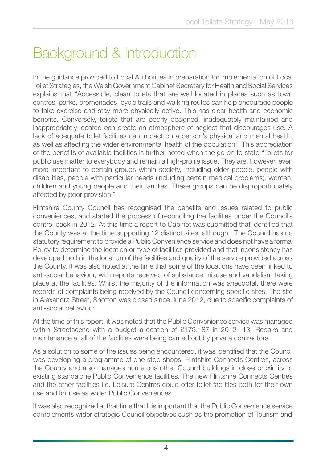## <span id="page-3-0"></span>Background & Introduction

In the guidance provided to Local Authorities in preparation for implementation of Local Toilet Strategies, the Welsh Government Cabinet Secretary for Health and Social Services explains that "Accessible, clean toilets that are well located in places such as town centres, parks, promenades, cycle trails and walking routes can help encourage people to take exercise and stay more physically active. This has clear health and economic benefts. Conversely, toilets that are poorly designed, inadequately maintained and inappropriately located can create an atmosphere of neglect that discourages use. A lack of adequate toilet facilities can impact on a person's physical and mental health, as well as affecting the wider environmental health of the population." This appreciation of the benefts of available facilities is further noted when the go on to state "Toilets for public use matter to everybody and remain a high-profle issue. They are, however, even more important to certain groups within society, including older people, people with disabilities, people with particular needs (including certain medical problems), women, children and young people and their families. These groups can be disproportionately affected by poor provision."

Flintshire County Council has recognised the benefits and issues related to public conveniences, and started the process of reconciling the facilities under the Council's control back in 2012. At this time a report to Cabinet was submitted that identifed that the County was at the time supporting 12 distinct sites, although t The Council has no statutory requirement to provide a Public Convenience service and does not have a formal Policy to determine the location or type of facilities provided and that inconsistency has developed both in the location of the facilities and quality of the service provided across the County. It was also noted at the time that some of the locations have been linked to anti-social behaviour, with reports received of substance misuse and vandalism taking place at the facilities. Whilst the majority of the information was anecdotal, there were records of complaints being received by the Council concerning specific sites. The site in Alexandra Street, Shotton was closed since June 2012, due to specifc complaints of anti-social behaviour.

At the time of this report, it was noted that the Public Convenience service was managed within Streetscene with a budget allocation of £173,187 in 2012 -13. Repairs and maintenance at all of the facilities were being carried out by private contractors.

As a solution to some of the issues being encountered, it was identifed that the Council was developing a programme of one stop shops, Flintshire Connects Centres, across the County and also manages numerous other Council buildings in close proximity to existing standalone Public Convenience facilities. The new Flintshire Connects Centres and the other facilities i.e. Leisure Centres could offer toilet facilities both for their own use and for use as wider Public Conveniences.

It was also recognized at that time that It is important that the Public Convenience service complements wider strategic Council objectives such as the promotion of Tourism and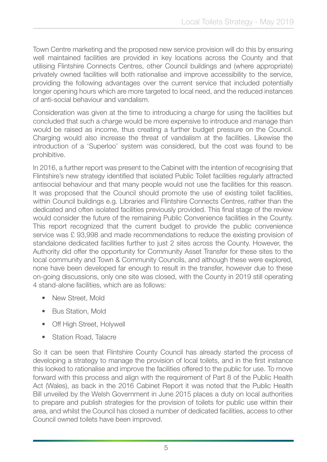Town Centre marketing and the proposed new service provision will do this by ensuring well maintained facilities are provided in key locations across the County and that utilising Flintshire Connects Centres, other Council buildings and (where appropriate) privately owned facilities will both rationalise and improve accessibility to the service, providing the following advantages over the current service that included potentially longer opening hours which are more targeted to local need, and the reduced instances of anti-social behaviour and vandalism.

Consideration was given at the time to introducing a charge for using the facilities but concluded that such a charge would be more expensive to introduce and manage than would be raised as income, thus creating a further budget pressure on the Council. Charging would also increase the threat of vandalism at the facilities. Likewise the introduction of a 'Superloo' system was considered, but the cost was found to be prohibitive.

In 2016, a further report was present to the Cabinet with the intention of recognising that Flintshire's new strategy identified that isolated Public Toilet facilities regularly attracted antisocial behaviour and that many people would not use the facilities for this reason. It was proposed that the Council should promote the use of existing toilet facilities, within Council buildings e.g. Libraries and Flintshire Connects Centres, rather than the dedicated and often isolated facilities previously provided. This final stage of the review would consider the future of the remaining Public Convenience facilities in the County. This report recognized that the current budget to provide the public convenience service was £ 93,998 and made recommendations to reduce the existing provision of standalone dedicated facilities further to just 2 sites across the County. However, the Authority did offer the opportunity for Community Asset Transfer for these sites to the local community and Town & Community Councils, and although these were explored, none have been developed far enough to result in the transfer, however due to these on-going discussions, only one site was closed, with the County in 2019 still operating 4 stand-alone facilities, which are as follows:

- New Street, Mold
- Bus Station, Mold
- Off High Street, Holywell
- Station Road, Talacre

So it can be seen that Flintshire County Council has already started the process of developing a strategy to manage the provision of local toilets, and in the first instance this looked to rationalise and improve the facilities offered to the public for use. To move forward with this process and align with the requirement of Part 8 of the Public Health Act (Wales), as back in the 2016 Cabinet Report it was noted that the Public Health Bill unveiled by the Welsh Government in June 2015 places a duty on local authorities to prepare and publish strategies for the provision of toilets for public use within their area, and whilst the Council has closed a number of dedicated facilities, access to other Council owned toilets have been improved.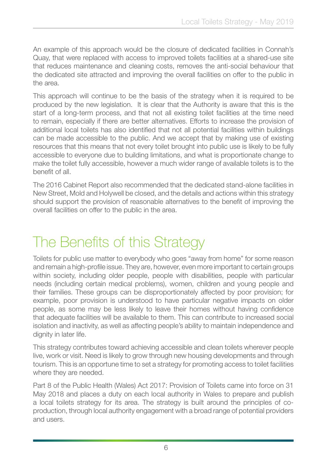<span id="page-5-0"></span>An example of this approach would be the closure of dedicated facilities in Connah's Quay, that were replaced with access to improved toilets facilities at a shared-use site that reduces maintenance and cleaning costs, removes the anti-social behaviour that the dedicated site attracted and improving the overall facilities on offer to the public in the area.

This approach will continue to be the basis of the strategy when it is required to be produced by the new legislation. It is clear that the Authority is aware that this is the start of a long-term process, and that not all existing toilet facilities at the time need to remain, especially if there are better alternatives. Efforts to increase the provision of additional local toilets has also identifed that not all potential facilities within buildings can be made accessible to the public. And we accept that by making use of existing resources that this means that not every toilet brought into public use is likely to be fully accessible to everyone due to building limitations, and what is proportionate change to make the toilet fully accessible, however a much wider range of available toilets is to the benefit of all

The 2016 Cabinet Report also recommended that the dedicated stand-alone facilities in New Street, Mold and Holywell be closed, and the details and actions within this strategy should support the provision of reasonable alternatives to the benefit of improving the overall facilities on offer to the public in the area.

## The Benefits of this Strategy

Toilets for public use matter to everybody who goes "away from home" for some reason and remain a high-profle issue. They are, however, even more important to certain groups within society, including older people, people with disabilities, people with particular needs (including certain medical problems), women, children and young people and their families. These groups can be disproportionately affected by poor provision; for example, poor provision is understood to have particular negative impacts on older people, as some may be less likely to leave their homes without having confdence that adequate facilities will be available to them. This can contribute to increased social isolation and inactivity, as well as affecting people's ability to maintain independence and dignity in later life.

This strategy contributes toward achieving accessible and clean toilets wherever people live, work or visit. Need is likely to grow through new housing developments and through tourism. This is an opportune time to set a strategy for promoting access to toilet facilities where they are needed.

Part 8 of the Public Health (Wales) Act 2017: Provision of Toilets came into force on 31 May 2018 and places a duty on each local authority in Wales to prepare and publish a local toilets strategy for its area. The strategy is built around the principles of coproduction, through local authority engagement with a broad range of potential providers and users.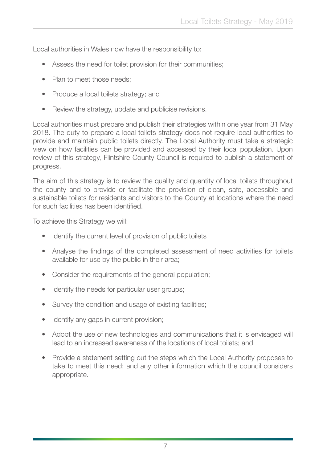Local authorities in Wales now have the responsibility to:

- Assess the need for toilet provision for their communities;
- Plan to meet those needs;
- Produce a local toilets strategy; and
- Review the strategy, update and publicise revisions.

Local authorities must prepare and publish their strategies within one year from 31 May 2018. The duty to prepare a local toilets strategy does not require local authorities to provide and maintain public toilets directly. The Local Authority must take a strategic view on how facilities can be provided and accessed by their local population. Upon review of this strategy, Flintshire County Council is required to publish a statement of progress.

The aim of this strategy is to review the quality and quantity of local toilets throughout the county and to provide or facilitate the provision of clean, safe, accessible and sustainable toilets for residents and visitors to the County at locations where the need for such facilities has been identifed.

To achieve this Strategy we will:

- Identify the current level of provision of public toilets
- Analyse the findings of the completed assessment of need activities for toilets available for use by the public in their area;
- Consider the requirements of the general population;
- Identify the needs for particular user groups;
- Survey the condition and usage of existing facilities;
- Identify any gaps in current provision;
- Adopt the use of new technologies and communications that it is envisaged will lead to an increased awareness of the locations of local toilets; and
- Provide a statement setting out the steps which the Local Authority proposes to take to meet this need; and any other information which the council considers appropriate.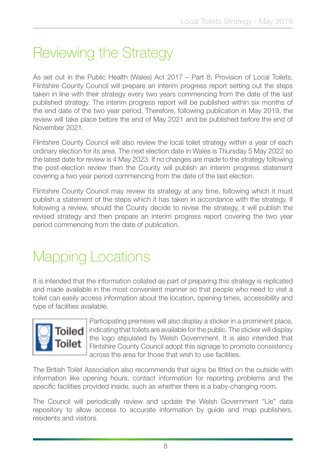## <span id="page-7-0"></span>Reviewing the Strategy

As set out in the Public Health (Wales) Act 2017 – Part 8: Provision of Local Toilets, Flintshire County Council will prepare an interim progress report setting out the steps taken in line with their strategy every two years commencing from the date of the last published strategy. The interim progress report will be published within six months of the end date of the two year period. Therefore, following publication in May 2019, the review will take place before the end of May 2021 and be published before the end of November 2021.

Flintshire County Council will also review the local toilet strategy within a year of each ordinary election for its area. The next election date in Wales is Thursday 5 May 2022 so the latest date for review is 4 May 2023. If no changes are made to the strategy following the post-election review then the County will publish an interim progress statement covering a two year period commencing from the date of the last election.

Flintshire County Council may review its strategy at any time, following which it must publish a statement of the steps which it has taken in accordance with the strategy. If following a review, should the County decide to revise the strategy, it will publish the revised strategy and then prepare an interim progress report covering the two year period commencing from the date of publication.

## Mapping Locations

It is intended that the information collated as part of preparing this strategy is replicated and made available in the most convenient manner so that people who need to visit a toilet can easily access information about the location, opening times, accessibility and type of facilities available.



Participating premises will also display a sticker in a prominent place, indicating that toilets are available for the public. The sticker will display the logo stipulated by Welsh Government. It is also intended that Flintshire County Council adopt this signage to promote consistency across the area for those that wish to use facilities.

The British Toilet Association also recommends that signs be ftted on the outside with information like opening hours, contact information for reporting problems and the specific facilities provided inside, such as whether there is a baby-changing room.

The Council will periodically review and update the Welsh Government "Lle" data repository to allow access to accurate information by guide and map publishers, residents and visitors.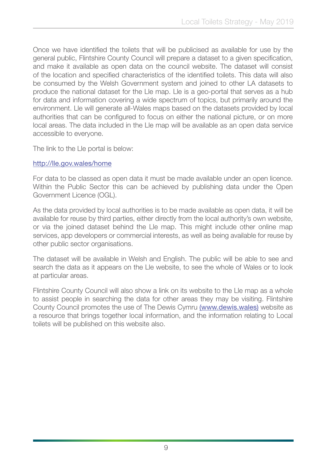Once we have identifed the toilets that will be publicised as available for use by the general public, Flintshire County Council will prepare a dataset to a given specifcation, and make it available as open data on the council website. The dataset will consist of the location and specifed characteristics of the identifed toilets. This data will also be consumed by the Welsh Government system and joined to other LA datasets to produce the national dataset for the Lle map. Lle is a geo-portal that serves as a hub for data and information covering a wide spectrum of topics, but primarily around the environment. Lle will generate all-Wales maps based on the datasets provided by local authorities that can be configured to focus on either the national picture, or on more local areas. The data included in the Lle map will be available as an open data service accessible to everyone.

The link to the Lle portal is below:

#### <http://lle.gov.wales/home>

For data to be classed as open data it must be made available under an open licence. Within the Public Sector this can be achieved by publishing data under the Open Government Licence (OGL).

As the data provided by local authorities is to be made available as open data, it will be available for reuse by third parties, either directly from the local authority's own website, or via the joined dataset behind the Lle map. This might include other online map services, app developers or commercial interests, as well as being available for reuse by other public sector organisations.

The dataset will be available in Welsh and English. The public will be able to see and search the data as it appears on the Lle website, to see the whole of Wales or to look at particular areas.

Flintshire County Council will also show a link on its website to the Lle map as a whole to assist people in searching the data for other areas they may be visiting. Flintshire County Council promotes the use of The Dewis Cymru ([www.dewis.wales\)](www.dewis.wales) website as a resource that brings together local information, and the information relating to Local toilets will be published on this website also.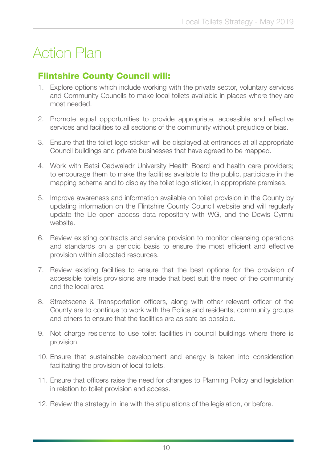## <span id="page-9-0"></span>Action Plan

#### Flintshire County Council will:

- 1. Explore options which include working with the private sector, voluntary services and Community Councils to make local toilets available in places where they are most needed.
- 2. Promote equal opportunities to provide appropriate, accessible and effective services and facilities to all sections of the community without prejudice or bias.
- 3. Ensure that the toilet logo sticker will be displayed at entrances at all appropriate Council buildings and private businesses that have agreed to be mapped.
- 4. Work with Betsi Cadwaladr University Health Board and health care providers; to encourage them to make the facilities available to the public, participate in the mapping scheme and to display the toilet logo sticker, in appropriate premises.
- 5. Improve awareness and information available on toilet provision in the County by updating information on the Flintshire County Council website and will regularly update the Lle open access data repository with WG, and the Dewis Cymru website.
- 6. Review existing contracts and service provision to monitor cleansing operations and standards on a periodic basis to ensure the most efficient and effective provision within allocated resources.
- 7. Review existing facilities to ensure that the best options for the provision of accessible toilets provisions are made that best suit the need of the community and the local area
- 8. Streetscene & Transportation officers, along with other relevant officer of the County are to continue to work with the Police and residents, community groups and others to ensure that the facilities are as safe as possible.
- 9. Not charge residents to use toilet facilities in council buildings where there is provision.
- 10. Ensure that sustainable development and energy is taken into consideration facilitating the provision of local toilets.
- 11. Ensure that officers raise the need for changes to Planning Policy and legislation in relation to toilet provision and access.
- 12. Review the strategy in line with the stipulations of the legislation, or before.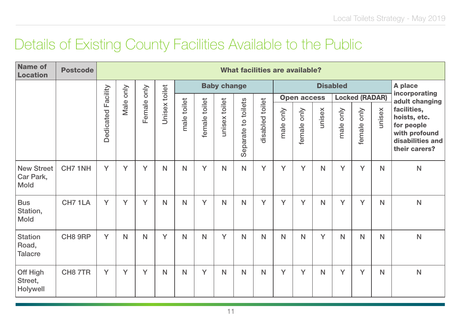#### Details of Existing County Facilities Available to the Public

| <b>Name of</b><br>Location                    | <b>Postcode</b> |           | <b>What facilities are available?</b> |              |      |              |        |                    |                             |                  |               |                                       |                 |                 |                       |              |                                 |                |        |                                                                                                 |
|-----------------------------------------------|-----------------|-----------|---------------------------------------|--------------|------|--------------|--------|--------------------|-----------------------------|------------------|---------------|---------------------------------------|-----------------|-----------------|-----------------------|--------------|---------------------------------|----------------|--------|-------------------------------------------------------------------------------------------------|
|                                               |                 |           | only                                  | only         |      |              |        | <b>Baby change</b> |                             |                  |               |                                       |                 | <b>Disabled</b> |                       |              | A place                         |                |        |                                                                                                 |
|                                               |                 | Facility  |                                       |              |      |              |        |                    |                             |                  |               | <b>Open access</b>                    |                 |                 | <b>Locked (RADAR)</b> |              | incorporating<br>adult changing |                |        |                                                                                                 |
|                                               |                 | Dedicated |                                       |              | Male |              | Female | Unisex toilet      | toilet<br>male <sup>-</sup> | toilet<br>female | unisex toilet | toilets<br>$\overline{c}$<br>Separate | disabled toilet | only<br>male    | only<br>female        | unisex       | only<br>male                    | only<br>female | unisex | facilities,<br>hoists, etc.<br>for people<br>with profound<br>disabilities and<br>their carers? |
| <b>New Street</b><br>Car Park,<br><b>Mold</b> | CH7 1NH         | Y         | Y                                     | Y            | N    | N            | Y      | $\mathsf{N}$       | N                           | Y                | Y             | Y                                     | $\mathsf{N}$    | Y               | Y                     | $\mathsf{N}$ | $\mathsf{N}$                    |                |        |                                                                                                 |
| <b>Bus</b><br>Station,<br><b>Mold</b>         | CH7 1LA         | Y         | Y                                     | Y            | N    | N            | Y      | N                  | $\mathsf{N}$                | Y                | Y             | Y                                     | N               | Y               | Y                     | $\mathsf{N}$ | N                               |                |        |                                                                                                 |
| <b>Station</b><br>Road,<br><b>Talacre</b>     | CH8 9RP         | Y         | N                                     | $\mathsf{N}$ | Y    | $\mathsf{N}$ | N      | Y                  | N                           | $\mathsf{N}$     | $\mathsf{N}$  | N                                     | Y               | $\mathsf{N}$    | $\mathsf{N}$          | $\mathsf{N}$ | $\mathsf{N}$                    |                |        |                                                                                                 |
| Off High<br>Street,<br>Holywell               | CH8 7TR         | Y         | Y                                     | Y            | N    | $\mathsf{N}$ | Y      | N                  | $\mathsf{N}$                | $\mathsf{N}$     | Y             | Y                                     | $\mathsf{N}$    | Y               | Y                     | $\mathsf{N}$ | $\mathsf{N}$                    |                |        |                                                                                                 |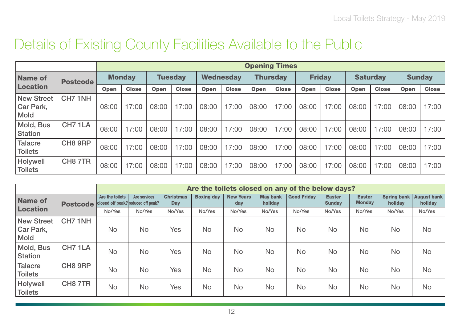#### Details of Existing County Facilities Available to the Public

|                                               |                 | <b>Opening Times</b> |              |                |              |                  |              |                 |              |               |              |                 |              |               |              |
|-----------------------------------------------|-----------------|----------------------|--------------|----------------|--------------|------------------|--------------|-----------------|--------------|---------------|--------------|-----------------|--------------|---------------|--------------|
| <b>Name of</b><br><b>Location</b>             | <b>Postcode</b> | <b>Monday</b>        |              | <b>Tuesday</b> |              | <b>Wednesday</b> |              | <b>Thursday</b> |              | <b>Friday</b> |              | <b>Saturday</b> |              | <b>Sunday</b> |              |
|                                               |                 | <b>Open</b>          | <b>Close</b> | <b>Open</b>    | <b>Close</b> | <b>Open</b>      | <b>Close</b> | <b>Open</b>     | <b>Close</b> | <b>Open</b>   | <b>Close</b> | <b>Open</b>     | <b>Close</b> | Open          | <b>Close</b> |
| <b>New Street</b><br><b>Car Park,</b><br>Mold | CH7 1NH         | 08:00                | 17:00        | 08:00          | 17:00        | 08:00            | 17:00        | 08:00           | 17:00        | 08:00         | 17:00        | 08:00           | 17:00        | 08:00         | 17:00        |
| Mold, Bus<br>Station                          | CH71LA          | 08:00                | 17:00        | 08:00          | 17:00        | 08:00            | 17:00        | 08:00           | 17:00        | 08:00         | 17:00        | 08:00           | 17:00        | 08:00         | 17:00        |
| <b>Talacre</b><br><b>Toilets</b>              | CH8 9RP         | 08:00                | 17:00        | 08:00          | 17:00        | 08:00            | 17:00        | 08:00           | 17:00        | 08:00         | 17:00        | 08:00           | 17:00        | 08:00         | 17:00        |
| Holywell<br><b>Toilets</b>                    | CH8 7TR         | 08:00                | 17:00        | 08:00          | 17:00        | 08:00            | 17:00        | 08:00           | 17:00        | 08:00         | 17:00        | 08:00           | 17:00        | 08:00         | 17:00        |

|                                        |                     |                 | Are the toilets closed on any of the below days?          |                                |                   |                         |                            |                    |                                |                                |                               |                               |  |  |  |
|----------------------------------------|---------------------|-----------------|-----------------------------------------------------------|--------------------------------|-------------------|-------------------------|----------------------------|--------------------|--------------------------------|--------------------------------|-------------------------------|-------------------------------|--|--|--|
| <b>Name of</b>                         | <b>Postcode</b>     | Are the toilets | <b>Are services</b><br>closed off peak? reduced off peak? | <b>Christmas</b><br><b>Day</b> | <b>Boxing day</b> | <b>New Years</b><br>dav | <b>May bank</b><br>holiday | <b>Good Friday</b> | <b>Easter</b><br><b>Sunday</b> | <b>Easter</b><br><b>Monday</b> | <b>Spring bank</b><br>holiday | <b>August bank</b><br>holiday |  |  |  |
| Location                               |                     | No/Yes          | No/Yes                                                    | No/Yes                         | No/Yes            | No/Yes                  | No/Yes                     | No/Yes             | No/Yes                         | No/Yes                         | No/Yes                        | No/Yes                        |  |  |  |
| <b>New Street</b><br>Car Park,<br>Mold | CH7 1NH             | <b>No</b>       | <b>No</b>                                                 | <b>Yes</b>                     | <b>No</b>         | <b>No</b>               | <b>No</b>                  | <b>No</b>          | <b>No</b>                      | <b>No</b>                      | <b>No</b>                     | <b>No</b>                     |  |  |  |
| Mold, Bus<br><b>Station</b>            | CH <sub>7</sub> 1LA | <b>No</b>       | <b>No</b>                                                 | Yes                            | <b>No</b>         | <b>No</b>               | <b>No</b>                  | <b>No</b>          | <b>No</b>                      | <b>No</b>                      | <b>No</b>                     | <b>No</b>                     |  |  |  |
| <b>Talacre</b><br><b>Toilets</b>       | CH8 9RP             | <b>No</b>       | <b>No</b>                                                 | <b>Yes</b>                     | <b>No</b>         | No                      | <b>No</b>                  | <b>No</b>          | <b>No</b>                      | <b>No</b>                      | <b>No</b>                     | <b>No</b>                     |  |  |  |
| Holywell<br><b>Toilets</b>             | CH8 7TR             | <b>No</b>       | <b>No</b>                                                 | <b>Yes</b>                     | <b>No</b>         | <b>No</b>               | <b>No</b>                  | <b>No</b>          | <b>No</b>                      | <b>No</b>                      | <b>No</b>                     | No                            |  |  |  |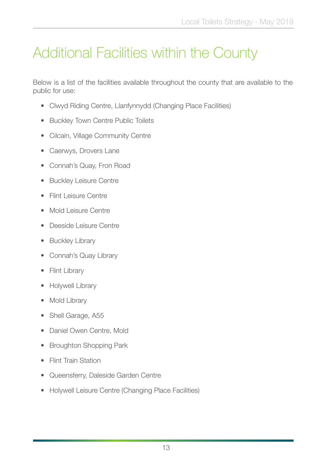## <span id="page-12-0"></span>Additional Facilities within the County

Below is a list of the facilities available throughout the county that are available to the public for use:

- Clwyd Riding Centre, Llanfynnydd (Changing Place Facilities)
- Buckley Town Centre Public Toilets
- Cilcain, Village Community Centre
- Caerwys, Drovers Lane
- Connah's Quay, Fron Road
- Buckley Leisure Centre
- Flint Leisure Centre
- Mold Leisure Centre
- Deeside Leisure Centre
- Buckley Library
- Connah's Quay Library
- Flint Library
- Holywell Library
- Mold Library
- Shell Garage, A55
- Daniel Owen Centre, Mold
- Broughton Shopping Park
- Flint Train Station
- Queensferry, Daleside Garden Centre
- Holywell Leisure Centre (Changing Place Facilities)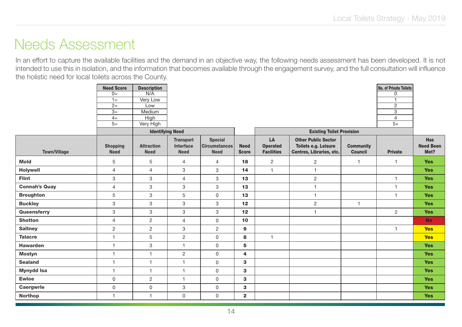#### <span id="page-13-0"></span>Needs Assessment

In an effort to capture the available facilities and the demand in an objective way, the following needs assessment has been developed. It is not intended to use this in isolation, and the information that becomes available through the engagement survey, and the full consultation will infuence the holistic need for local toilets across the County.

|                      | <b>Need Score</b> | <b>Description</b>      |                  |                      |              |                   |                                  |                  | No. of Private Toilets            |                  |
|----------------------|-------------------|-------------------------|------------------|----------------------|--------------|-------------------|----------------------------------|------------------|-----------------------------------|------------------|
|                      | $0=$              | N/A                     |                  |                      |              |                   |                                  |                  | U                                 |                  |
|                      | $1 =$             | Very Low                |                  |                      |              |                   |                                  |                  |                                   |                  |
|                      | $\overline{2=}$   | Low                     |                  |                      |              |                   |                                  |                  | $\overline{2}$                    |                  |
|                      | $3=$              | Medium                  |                  |                      |              |                   |                                  |                  | $\overline{3}$                    |                  |
|                      | $4=$<br>$5=$      | High                    |                  |                      |              |                   |                                  |                  | $\overline{4}$<br>$\overline{5+}$ |                  |
|                      |                   | Very High               |                  |                      |              |                   |                                  |                  |                                   |                  |
|                      |                   | <b>Identifying Need</b> |                  |                      |              |                   | <b>Existing Toilet Provision</b> |                  |                                   |                  |
|                      |                   |                         | <b>Transport</b> | <b>Special</b>       |              | LA                | <b>Other Public Sector</b>       |                  |                                   | <b>Has</b>       |
|                      | <b>Shopping</b>   | <b>Attraction</b>       | Interface        | <b>Circumstances</b> | <b>Need</b>  | <b>Operated</b>   | <b>Toilets e.g. Leisure</b>      | <b>Community</b> |                                   | <b>Need Been</b> |
| <b>Town/Village</b>  | <b>Need</b>       | <b>Need</b>             | <b>Need</b>      | <b>Need</b>          | <b>Score</b> | <b>Facilities</b> | Centres, Libraries, etc.         | <b>Council</b>   | <b>Private</b>                    | Met?             |
| <b>Mold</b>          | 5                 | 5                       | $\overline{4}$   | $\overline{4}$       | 18           | $\overline{2}$    | $\mathbf{2}$                     | $\overline{1}$   | 1                                 | <b>Yes</b>       |
| <b>Holywell</b>      | $\overline{4}$    | $\overline{4}$          | 3                | 3                    | 14           | $\mathbf{1}$      | $\overline{1}$                   |                  |                                   | <b>Yes</b>       |
| <b>Flint</b>         | 3                 | $\mathsf 3$             | $\overline{4}$   | 3                    | 13           |                   | $\overline{c}$                   |                  | $\mathbf{1}$                      | <b>Yes</b>       |
| <b>Connah's Quay</b> | 4                 | $\mathsf 3$             | $\mathbf{3}$     | 3                    | 13           |                   |                                  |                  | $\overline{1}$                    | <b>Yes</b>       |
| <b>Broughton</b>     | 5                 | $\mathbf 3$             | 5                | $\mathsf{O}$         | 13           |                   | $\mathbf{1}$                     |                  | $\mathbf{1}$                      | <b>Yes</b>       |
| <b>Buckley</b>       | 3                 | 3                       | $\mathbf{3}$     | 3                    | 12           |                   | $\overline{c}$                   | $\mathbf{1}$     |                                   | <b>Yes</b>       |
| Queensferry          | 3                 | $\mathsf 3$             | $\mathbf{3}$     | 3                    | 12           |                   | $\overline{\mathbf{1}}$          |                  | $\overline{2}$                    | <b>Yes</b>       |
| <b>Shotton</b>       | $\overline{4}$    | $\overline{2}$          | $\overline{4}$   | $\mathsf{O}$         | 10           |                   |                                  |                  |                                   | <b>No</b>        |
| <b>Saltney</b>       | $\overline{c}$    | $\overline{2}$          | 3                | $\overline{2}$       | $\mathbf{9}$ |                   |                                  |                  | $\mathbf{1}$                      | <b>Yes</b>       |
| <b>Talacre</b>       | $\mathbf{1}$      | $\overline{5}$          | $\overline{2}$   | $\mathbf 0$          | 8            | $\mathbf{1}$      |                                  |                  |                                   | <b>Yes</b>       |
| <b>Hawarden</b>      | $\mathbf{1}$      | $\mathsf 3$             | $\mathbf{1}$     | $\mathsf{O}$         | 5            |                   |                                  |                  |                                   | <b>Yes</b>       |
| <b>Mostyn</b>        | $\mathbf{1}$      | $\mathbf{1}$            | $\overline{2}$   | $\mathbf 0$          | 4            |                   |                                  |                  |                                   | <b>Yes</b>       |
| <b>Sealand</b>       | $\mathbf{1}$      | $\mathbf{1}$            | $\mathbf{1}$     | $\mathsf{O}$         | 3            |                   |                                  |                  |                                   | <b>Yes</b>       |
| <b>Mynydd Isa</b>    | $\mathbf{1}$      | $\mathbf{1}$            | $\mathbf{1}$     | $\mathsf{O}$         | 3            |                   |                                  |                  |                                   | <b>Yes</b>       |
| <b>Ewloe</b>         | 0                 | $\overline{2}$          | $\overline{1}$   | $\mathsf{O}$         | 3            |                   |                                  |                  |                                   | <b>Yes</b>       |
| <b>Caergwrle</b>     | 0                 | $\mathsf{O}\xspace$     | $\mathbf{3}$     | 0                    | 3            |                   |                                  |                  |                                   | <b>Yes</b>       |
| <b>Northop</b>       | 1                 | $\overline{1}$          | $\mathbf 0$      | $\mathsf{O}$         | $\mathbf{2}$ |                   |                                  |                  |                                   | <b>Yes</b>       |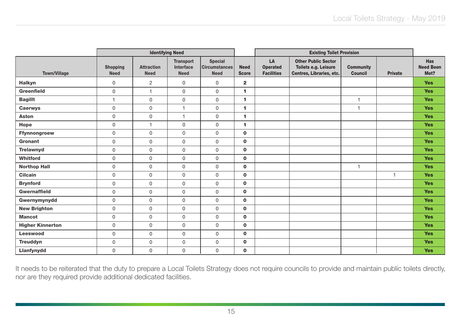|                         |                                | <b>Identifying Need</b>          |                                                     |                                                       |                             |                                            |                                                                                |                                    |                |                                        |
|-------------------------|--------------------------------|----------------------------------|-----------------------------------------------------|-------------------------------------------------------|-----------------------------|--------------------------------------------|--------------------------------------------------------------------------------|------------------------------------|----------------|----------------------------------------|
| <b>Town/Village</b>     | <b>Shopping</b><br><b>Need</b> | <b>Attraction</b><br><b>Need</b> | <b>Transport</b><br><b>Interface</b><br><b>Need</b> | <b>Special</b><br><b>Circumstances</b><br><b>Need</b> | <b>Need</b><br><b>Score</b> | LA<br><b>Operated</b><br><b>Facilities</b> | <b>Other Public Sector</b><br>Toilets e.g. Leisure<br>Centres, Libraries, etc. | <b>Community</b><br><b>Council</b> | <b>Private</b> | <b>Has</b><br><b>Need Been</b><br>Met? |
| <b>Halkyn</b>           | $\mathbf 0$                    | $\overline{c}$                   | 0                                                   | 0                                                     | $\mathbf{2}$                |                                            |                                                                                |                                    |                | <b>Yes</b>                             |
| <b>Greenfield</b>       | $\mathsf{O}$                   | $\mathbf{1}$                     | 0                                                   | 0                                                     | 1                           |                                            |                                                                                |                                    |                | <b>Yes</b>                             |
| <b>Bagillt</b>          | $\overline{1}$                 | 0                                | 0                                                   | 0                                                     | 1                           |                                            |                                                                                | $\mathbf{1}$                       |                | <b>Yes</b>                             |
| <b>Caerwys</b>          | $\mathbf{0}$                   | $\Omega$                         | $\overline{1}$                                      | $\Omega$                                              | 1                           |                                            |                                                                                | $\overline{1}$                     |                | <b>Yes</b>                             |
| <b>Aston</b>            | $\mathsf{O}\xspace$            | 0                                | $\mathbf{1}$                                        | 0                                                     | 1                           |                                            |                                                                                |                                    |                | <b>Yes</b>                             |
| Hope                    | $\mathbf 0$                    | $\mathbf{1}$                     | 0                                                   | 0                                                     | 1                           |                                            |                                                                                |                                    |                | <b>Yes</b>                             |
| <b>Ffynnongroew</b>     | $\mathsf{O}\xspace$            | 0                                | 0                                                   | 0                                                     | $\mathbf{o}$                |                                            |                                                                                |                                    |                | <b>Yes</b>                             |
| Gronant                 | $\mathbf 0$                    | 0                                | 0                                                   | $\mathsf 0$                                           | $\mathbf 0$                 |                                            |                                                                                |                                    |                | <b>Yes</b>                             |
| <b>Trelawnyd</b>        | $\mathsf{O}\xspace$            | 0                                | 0                                                   | 0                                                     | $\mathbf 0$                 |                                            |                                                                                |                                    |                | <b>Yes</b>                             |
| <b>Whitford</b>         | $\mathsf{O}\xspace$            | 0                                | 0                                                   | $\mathsf 0$                                           | $\mathbf 0$                 |                                            |                                                                                |                                    |                | <b>Yes</b>                             |
| <b>Northop Hall</b>     | $\mathsf{O}\xspace$            | 0                                | $\mathsf{O}$                                        | 0                                                     | $\mathbf{o}$                |                                            |                                                                                | $\mathbf{1}$                       |                | <b>Yes</b>                             |
| <b>Cilcain</b>          | $\mathsf{O}\xspace$            | 0                                | 0                                                   | $\mathsf 0$                                           | $\mathbf 0$                 |                                            |                                                                                |                                    | $\overline{1}$ | <b>Yes</b>                             |
| <b>Brynford</b>         | $\mathsf{O}$                   | 0                                | $\mathbf{0}$                                        | 0                                                     | $\mathbf 0$                 |                                            |                                                                                |                                    |                | <b>Yes</b>                             |
| <b>Gwernaffield</b>     | $\mathsf{O}$                   | $\mathsf{O}$                     | $\mathsf{O}$                                        | 0                                                     | $\mathbf 0$                 |                                            |                                                                                |                                    |                | <b>Yes</b>                             |
| Gwernymynydd            | $\mathsf{O}\xspace$            | 0                                | 0                                                   | $\mathsf 0$                                           | $\mathbf 0$                 |                                            |                                                                                |                                    |                | <b>Yes</b>                             |
| <b>New Brighton</b>     | $\mathsf{O}\xspace$            | 0                                | $\mathsf{O}$                                        | 0                                                     | $\mathbf 0$                 |                                            |                                                                                |                                    |                | <b>Yes</b>                             |
| <b>Mancot</b>           | $\mathbf 0$                    | 0                                | 0                                                   | 0                                                     | $\mathbf{o}$                |                                            |                                                                                |                                    |                | <b>Yes</b>                             |
| <b>Higher Kinnerton</b> | $\mathsf{O}\xspace$            | $\mathbf 0$                      | 0                                                   | 0                                                     | $\mathbf 0$                 |                                            |                                                                                |                                    |                | <b>Yes</b>                             |
| <b>Leeswood</b>         | $\mathsf{O}$                   | $\mathbf 0$                      | 0                                                   | 0                                                     | $\mathbf 0$                 |                                            |                                                                                |                                    |                | <b>Yes</b>                             |
| <b>Treuddyn</b>         | $\mathsf{O}$                   | $\mathbf 0$                      | 0                                                   | 0                                                     | $\mathbf 0$                 |                                            |                                                                                |                                    |                | <b>Yes</b>                             |
| Llanfynydd              | $\mathbf 0$                    | 0                                | 0                                                   | 0                                                     | $\mathbf 0$                 |                                            |                                                                                |                                    |                | <b>Yes</b>                             |

It needs to be reiterated that the duty to prepare a Local Toilets Strategy does not require councils to provide and maintain public toilets directly, nor are they required provide additional dedicated facilities.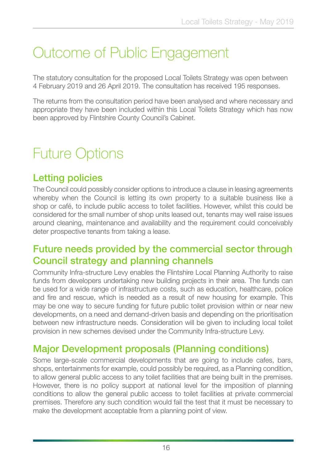## <span id="page-15-0"></span>Outcome of Public Engagement

The statutory consultation for the proposed Local Toilets Strategy was open between 4 February 2019 and 26 April 2019. The consultation has received 195 responses.

The returns from the consultation period have been analysed and where necessary and appropriate they have been included within this Local Toilets Strategy which has now been approved by Flintshire County Council's Cabinet.

## Future Options

#### Letting policies

The Council could possibly consider options to introduce a clause in leasing agreements whereby when the Council is letting its own property to a suitable business like a shop or café, to include public access to toilet facilities. However, whilst this could be considered for the small number of shop units leased out, tenants may well raise issues around cleaning, maintenance and availability and the requirement could conceivably deter prospective tenants from taking a lease.

#### Future needs provided by the commercial sector through Council strategy and planning channels

Community Infra-structure Levy enables the Flintshire Local Planning Authority to raise funds from developers undertaking new building projects in their area. The funds can be used for a wide range of infrastructure costs, such as education, healthcare, police and fire and rescue, which is needed as a result of new housing for example. This may be one way to secure funding for future public toilet provision within or near new developments, on a need and demand-driven basis and depending on the prioritisation between new infrastructure needs. Consideration will be given to including local toilet provision in new schemes devised under the Community Infra-structure Levy.

#### Major Development proposals (Planning conditions)

Some large-scale commercial developments that are going to include cafes, bars, shops, entertainments for example, could possibly be required, as a Planning condition, to allow general public access to any toilet facilities that are being built in the premises. However, there is no policy support at national level for the imposition of planning conditions to allow the general public access to toilet facilities at private commercial premises. Therefore any such condition would fail the test that it must be necessary to make the development acceptable from a planning point of view.